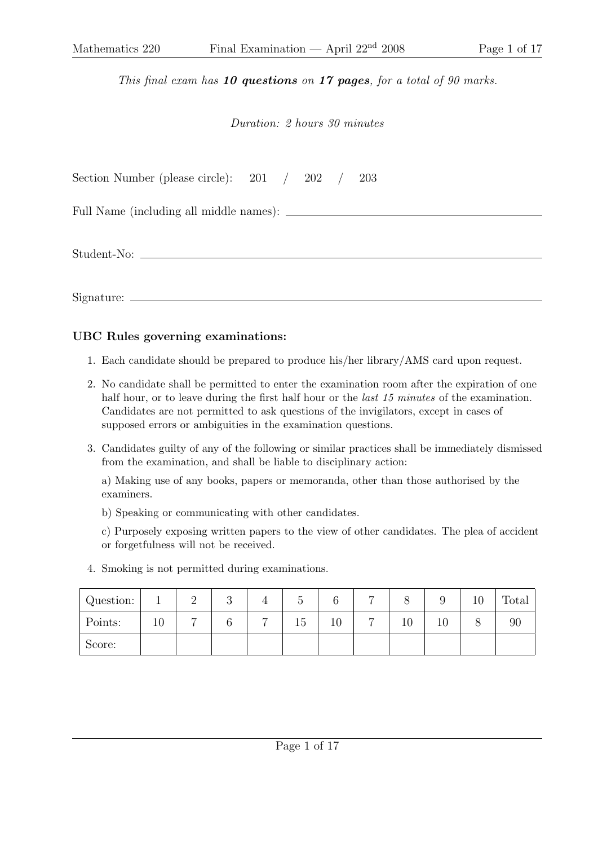Signature:

This final exam has 10 questions on 17 pages, for a total of 90 marks.

## Duration: 2 hours 30 minutes

| Section Number (please circle): $201 / 202 /$ |  |  |  |  | 203 |  |  |  |  |  |  |
|-----------------------------------------------|--|--|--|--|-----|--|--|--|--|--|--|
|                                               |  |  |  |  |     |  |  |  |  |  |  |
|                                               |  |  |  |  |     |  |  |  |  |  |  |

## UBC Rules governing examinations:

- 1. Each candidate should be prepared to produce his/her library/AMS card upon request.
- 2. No candidate shall be permitted to enter the examination room after the expiration of one half hour, or to leave during the first half hour or the *last 15 minutes* of the examination. Candidates are not permitted to ask questions of the invigilators, except in cases of supposed errors or ambiguities in the examination questions.
- 3. Candidates guilty of any of the following or similar practices shall be immediately dismissed from the examination, and shall be liable to disciplinary action:

a) Making use of any books, papers or memoranda, other than those authorised by the examiners.

b) Speaking or communicating with other candidates.

c) Purposely exposing written papers to the view of other candidates. The plea of accident or forgetfulness will not be received.

4. Smoking is not permitted during examinations.

| Question: |    | $\Omega$ | $\Omega$<br>◡ | 4 | G  | O  | $\overline{ }$ |        | IJ     | 10 | Total |
|-----------|----|----------|---------------|---|----|----|----------------|--------|--------|----|-------|
| Points:   | ΙU | ⇁        |               |   | 45 | 10 | -              | $10\,$ | $10\,$ |    | 90    |
| Score:    |    |          |               |   |    |    |                |        |        |    |       |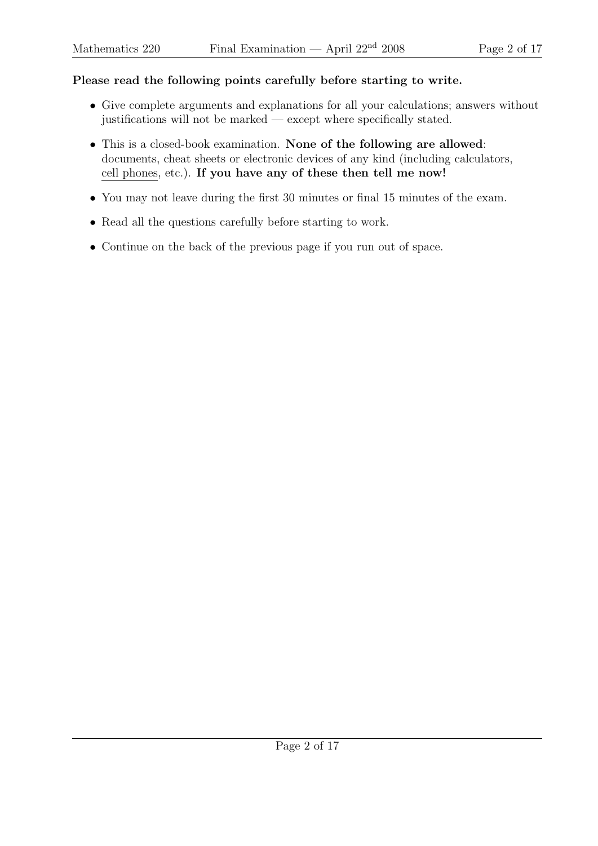## Please read the following points carefully before starting to write.

- Give complete arguments and explanations for all your calculations; answers without justifications will not be marked — except where specifically stated.
- This is a closed-book examination. None of the following are allowed: documents, cheat sheets or electronic devices of any kind (including calculators, cell phones, etc.). If you have any of these then tell me now!
- You may not leave during the first 30 minutes or final 15 minutes of the exam.
- Read all the questions carefully before starting to work.
- Continue on the back of the previous page if you run out of space.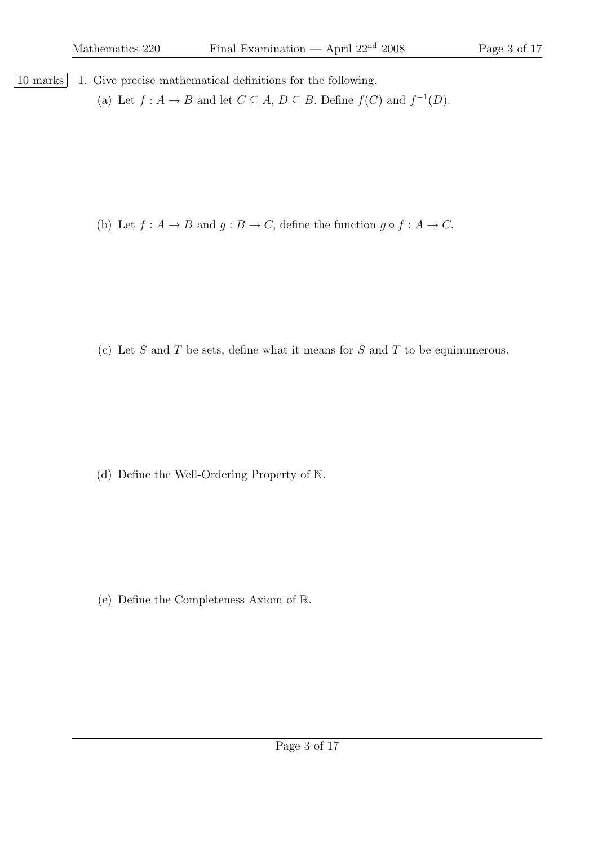10 marks 1. Give precise mathematical definitions for the following. (a) Let  $f : A \to B$  and let  $C \subseteq A$ ,  $D \subseteq B$ . Define  $f(C)$  and  $f^{-1}(D)$ .

(b) Let  $f : A \to B$  and  $g : B \to C$ , define the function  $g \circ f : A \to C$ .

(c) Let  $S$  and  $T$  be sets, define what it means for  $S$  and  $T$  to be equinumerous.

(d) Define the Well-Ordering Property of N.

(e) Define the Completeness Axiom of R.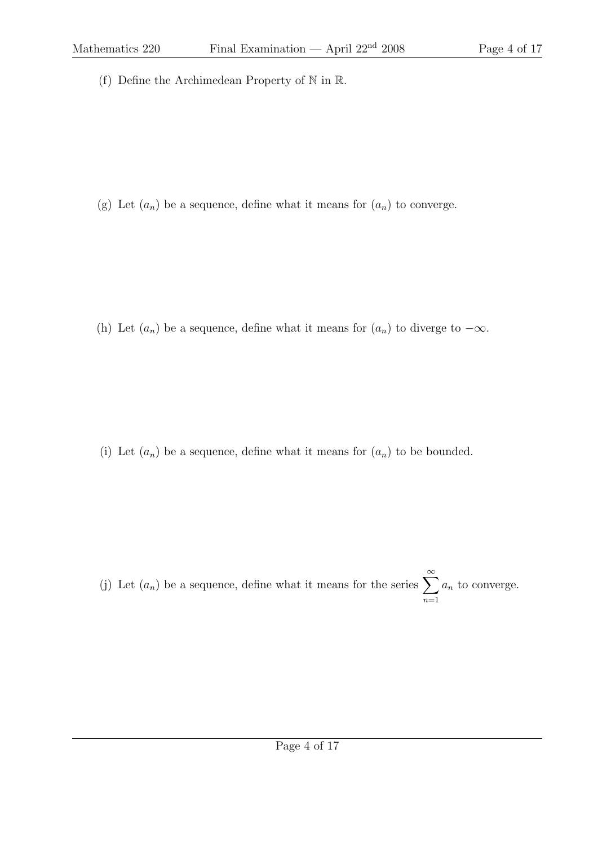(f) Define the Archimedean Property of N in R.

(g) Let  $(a_n)$  be a sequence, define what it means for  $(a_n)$  to converge.

(h) Let  $(a_n)$  be a sequence, define what it means for  $(a_n)$  to diverge to  $-\infty$ .

(i) Let  $(a_n)$  be a sequence, define what it means for  $(a_n)$  to be bounded.

(j) Let  $(a_n)$  be a sequence, define what it means for the series  $\sum_{n=1}^{\infty}$  $n=1$  $a_n$  to converge.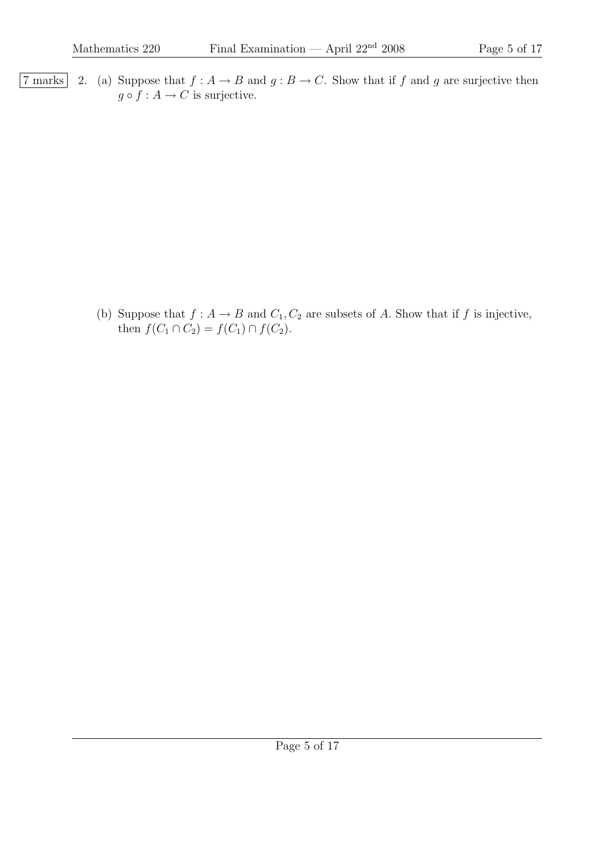7 marks 2. (a) Suppose that  $f : A \to B$  and  $g : B \to C$ . Show that if f and g are surjective then  $g \circ f : A \to C$  is surjective.

> (b) Suppose that  $f : A \to B$  and  $C_1, C_2$  are subsets of A. Show that if f is injective, then  $f(C_1 \cap C_2) = f(C_1) \cap f(C_2)$ .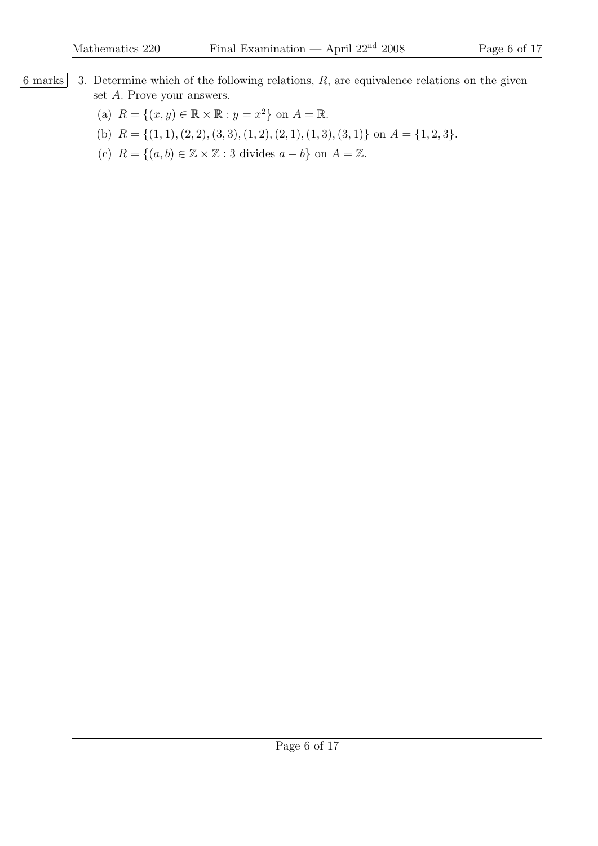- $\begin{bmatrix} 6 \text{ marks} \end{bmatrix}$  3. Determine which of the following relations, R, are equivalence relations on the given set A. Prove your answers.
	- (a)  $R = \{(x, y) \in \mathbb{R} \times \mathbb{R} : y = x^2\}$  on  $A = \mathbb{R}$ .
	- (b)  $R = \{(1, 1), (2, 2), (3, 3), (1, 2), (2, 1), (1, 3), (3, 1)\}$  on  $A = \{1, 2, 3\}.$
	- (c)  $R = \{(a, b) \in \mathbb{Z} \times \mathbb{Z} : 3 \text{ divides } a b\} \text{ on } A = \mathbb{Z}.$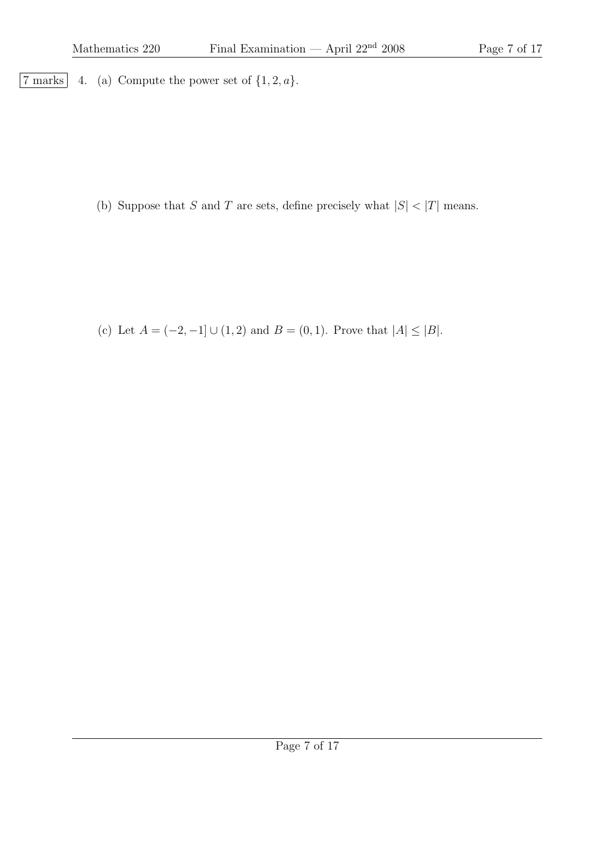$\boxed{7 \text{ marks}}$  4. (a) Compute the power set of  $\{1, 2, a\}.$ 

(b) Suppose that S and T are sets, define precisely what  $|S| < |T|$  means.

(c) Let  $A = (-2, -1] \cup (1, 2)$  and  $B = (0, 1)$ . Prove that  $|A| \le |B|$ .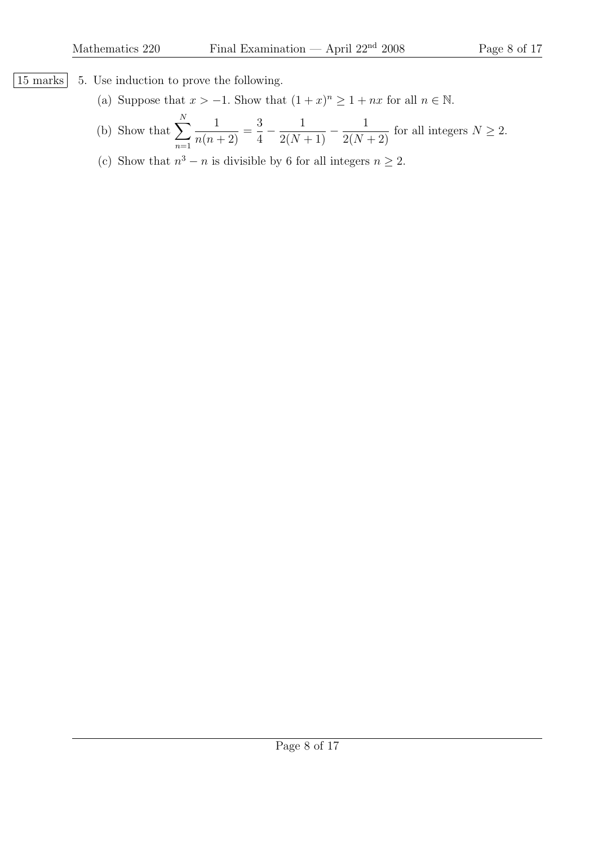|15 marks| 5. Use induction to prove the following.

- (a) Suppose that  $x > -1$ . Show that  $(1+x)^n \ge 1 + nx$  for all  $n \in \mathbb{N}$ .
- (b) Show that  $\sum$ N  $n=1$ 1  $\frac{1}{n(n+2)}$ 3 4  $-\frac{1}{2(N+1)} - \frac{1}{2(N+2)}$  for all integers  $N \ge 2$ .
- (c) Show that  $n^3 n$  is divisible by 6 for all integers  $n \geq 2$ .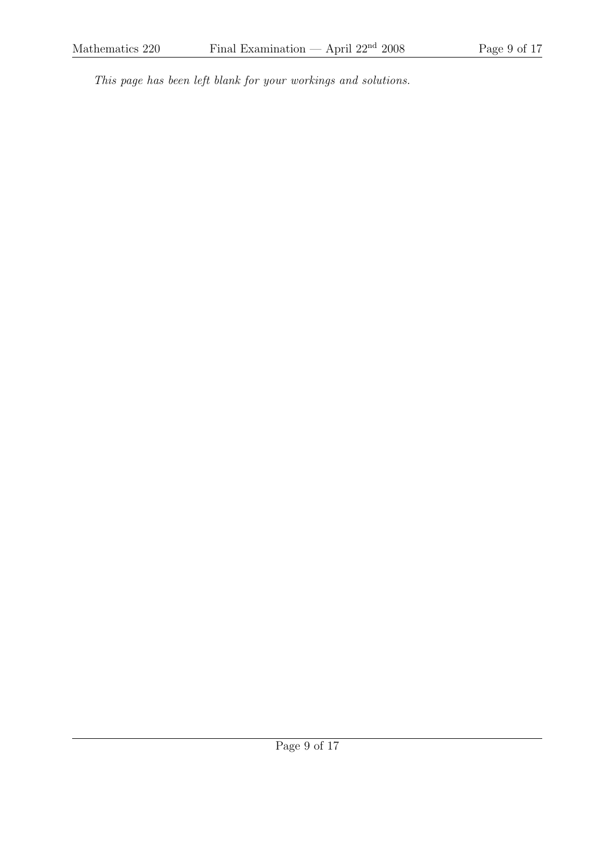This page has been left blank for your workings and solutions.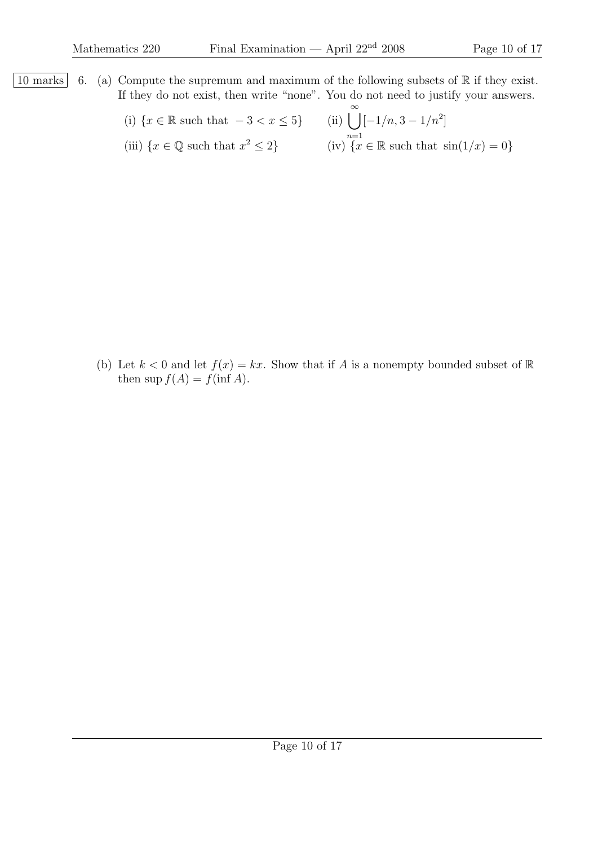| 10 marks | 6. (a) Compute the supremum and maximum of the following subsets of  $\mathbb R$  if they exist. If they do not exist, then write "none". You do not need to justify your answers.

(i) 
$$
\{x \in \mathbb{R} \text{ such that } -3 < x \leq 5\}
$$
\n(ii)  $\bigcup_{n=1}^{\infty} [-1/n, 3 - 1/n^2]$ \n(iii)  $\{x \in \mathbb{Q} \text{ such that } x^2 \leq 2\}$ \n(iv)  $\{x \in \mathbb{R} \text{ such that } \sin(1/x) = 0\}$ 

(b) Let  $k < 0$  and let  $f(x) = kx$ . Show that if A is a nonempty bounded subset of R then  $\sup f(A) = f(\inf A)$ .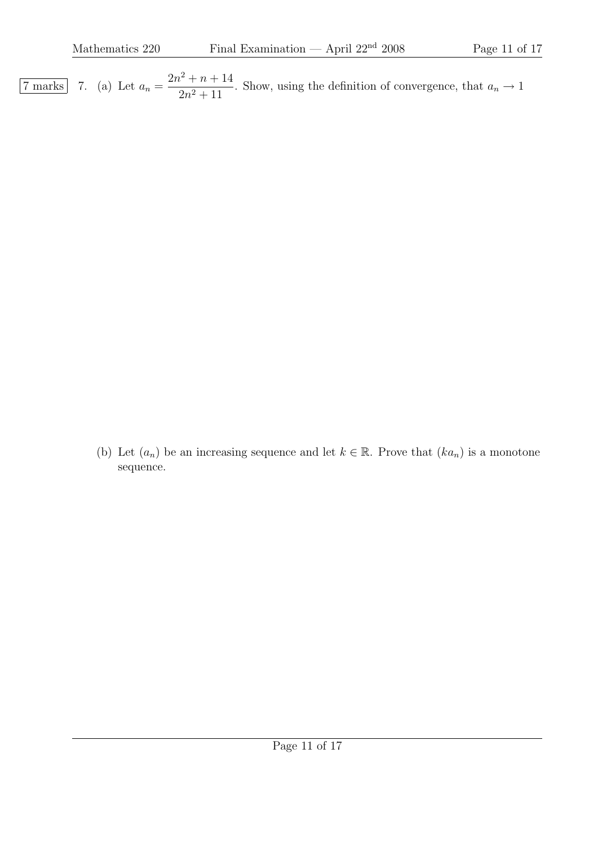$7 \text{ marks}$  7. (a) Let  $a_n =$  $2n^2 + n + 14$  $\frac{2n^2 + 11}{2n^2 + 11}$ . Show, using the definition of convergence, that  $a_n \to 1$ 

> (b) Let  $(a_n)$  be an increasing sequence and let  $k \in \mathbb{R}$ . Prove that  $(ka_n)$  is a monotone sequence.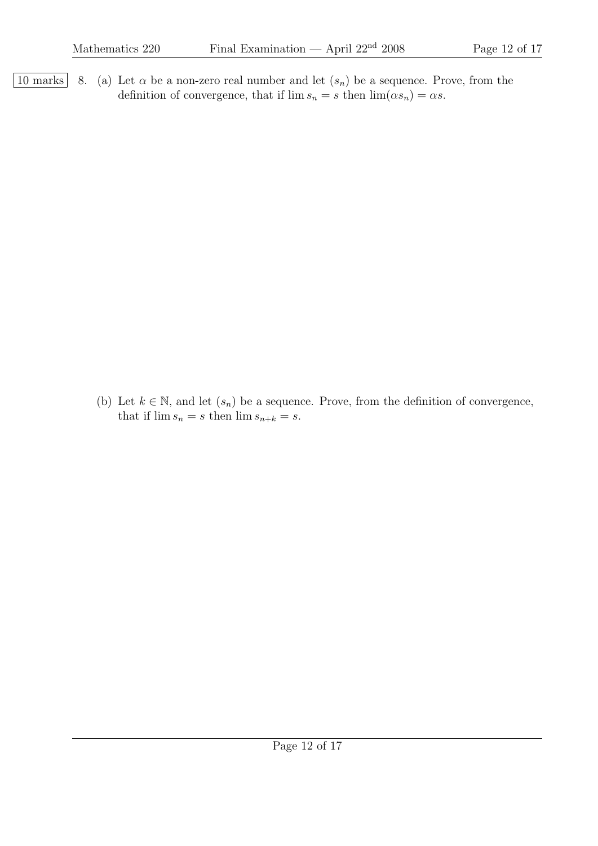$\boxed{10 \text{ marks}}$  8. (a) Let  $\alpha$  be a non-zero real number and let  $(s_n)$  be a sequence. Prove, from the definition of convergence, that if  $\lim s_n = s$  then  $\lim(\alpha s_n) = \alpha s$ .

> (b) Let  $k \in \mathbb{N}$ , and let  $(s_n)$  be a sequence. Prove, from the definition of convergence, that if  $\lim s_n = s$  then  $\lim s_{n+k} = s$ .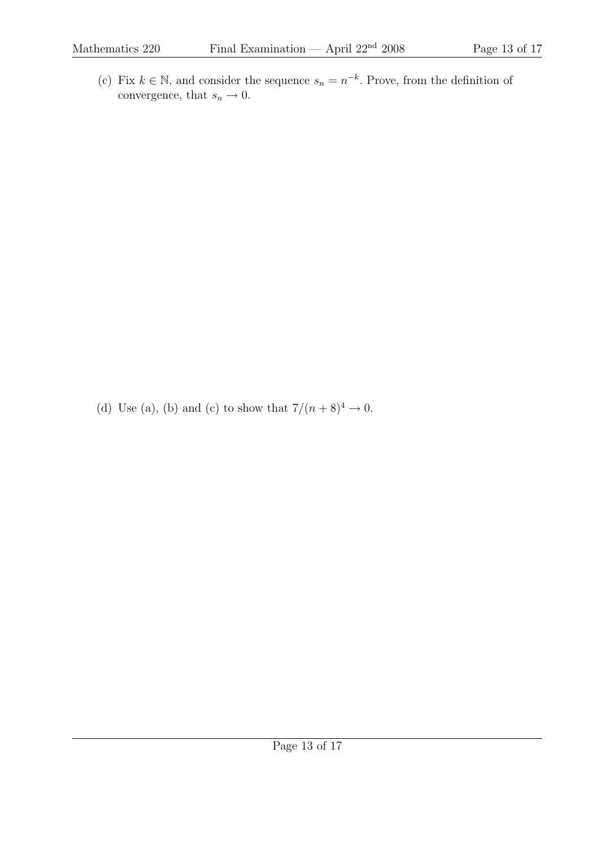(c) Fix  $k \in \mathbb{N}$ , and consider the sequence  $s_n = n^{-k}$ . Prove, from the definition of convergence, that  $s_n \to 0$ .

(d) Use (a), (b) and (c) to show that  $7/(n+8)^4 \rightarrow 0$ .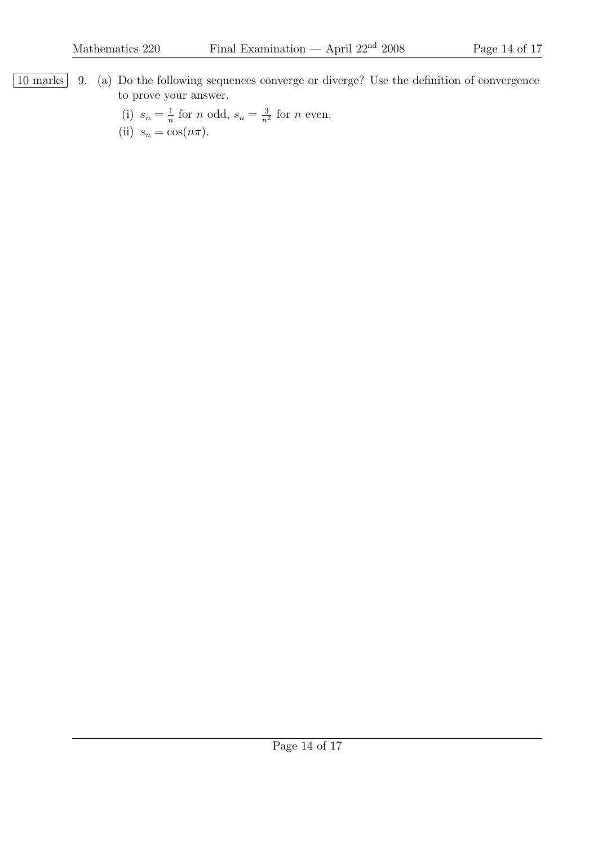- 10 marks 9. (a) Do the following sequences converge or diverge? Use the definition of convergence to prove your answer.
	- $(i)$   $s_n = \frac{1}{n}$  $\frac{1}{n}$  for *n* odd,  $s_n = \frac{3}{n^2}$  $\frac{3}{n^2}$  for *n* even. (ii)  $s_n = \cos(n\pi)$ .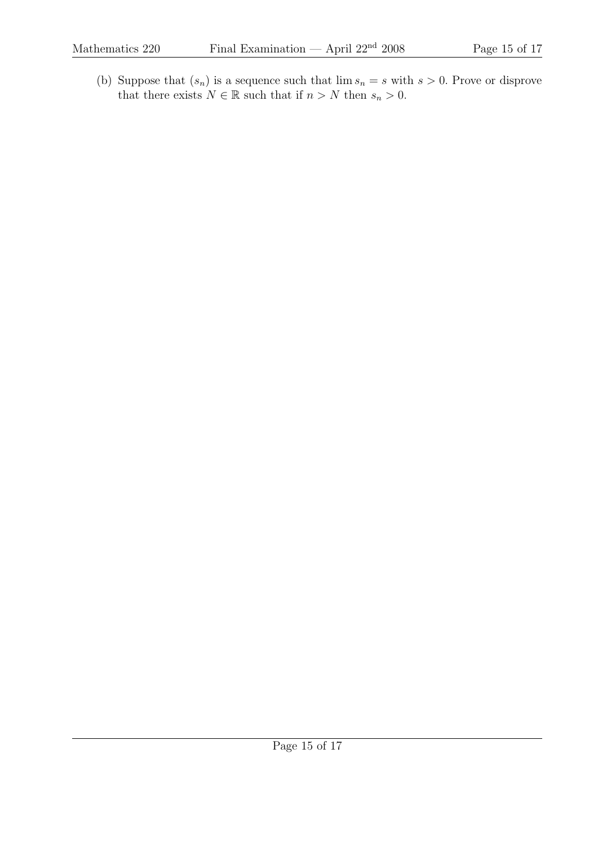(b) Suppose that  $(s_n)$  is a sequence such that  $\lim s_n = s$  with  $s > 0$ . Prove or disprove that there exists  $N \in \mathbb{R}$  such that if  $n > N$  then  $s_n > 0$ .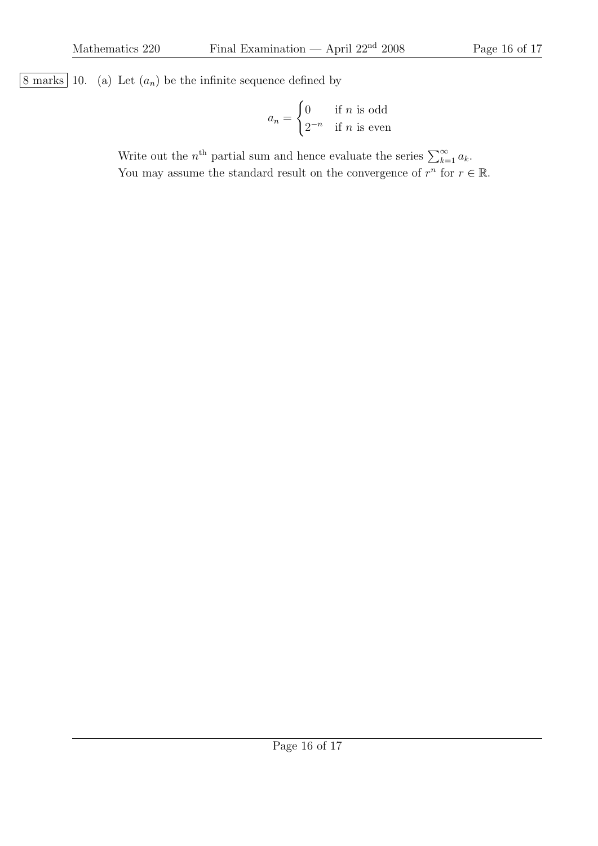$\boxed{8 \text{ marks}}$  10. (a) Let  $(a_n)$  be the infinite sequence defined by

$$
a_n = \begin{cases} 0 & \text{if } n \text{ is odd} \\ 2^{-n} & \text{if } n \text{ is even} \end{cases}
$$

Write out the  $n^{\text{th}}$  partial sum and hence evaluate the series  $\sum_{k=1}^{\infty} a_k$ . You may assume the standard result on the convergence of  $r^n$  for  $r \in \mathbb{R}$ .